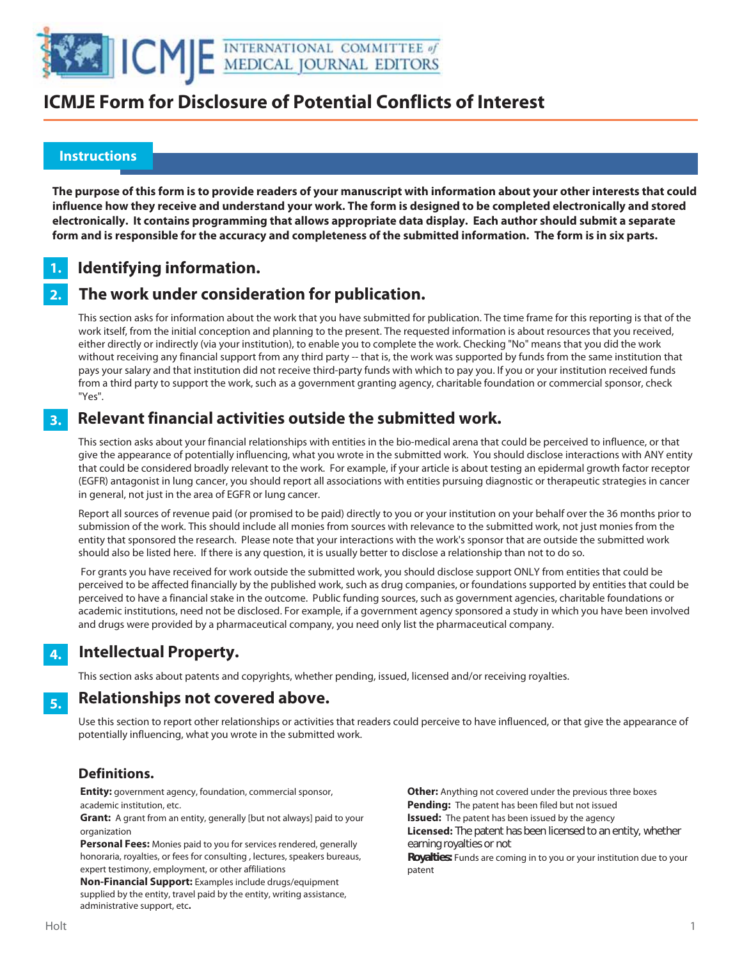

### **Instructions**

l

**The purpose of this form is to provide readers of your manuscript with information about your other interests that could influence how they receive and understand your work. The form is designed to be completed electronically and stored electronically. It contains programming that allows appropriate data display. Each author should submit a separate form and is responsible for the accuracy and completeness of the submitted information. The form is in six parts.** 

#### **Identifying information. 1.**

#### **The work under consideration for publication. 2.**

This section asks for information about the work that you have submitted for publication. The time frame for this reporting is that of the work itself, from the initial conception and planning to the present. The requested information is about resources that you received, either directly or indirectly (via your institution), to enable you to complete the work. Checking "No" means that you did the work without receiving any financial support from any third party -- that is, the work was supported by funds from the same institution that pays your salary and that institution did not receive third-party funds with which to pay you. If you or your institution received funds from a third party to support the work, such as a government granting agency, charitable foundation or commercial sponsor, check "Yes".

#### **Relevant financial activities outside the submitted work. 3.**

This section asks about your financial relationships with entities in the bio-medical arena that could be perceived to influence, or that give the appearance of potentially influencing, what you wrote in the submitted work. You should disclose interactions with ANY entity that could be considered broadly relevant to the work. For example, if your article is about testing an epidermal growth factor receptor (EGFR) antagonist in lung cancer, you should report all associations with entities pursuing diagnostic or therapeutic strategies in cancer in general, not just in the area of EGFR or lung cancer.

Report all sources of revenue paid (or promised to be paid) directly to you or your institution on your behalf over the 36 months prior to submission of the work. This should include all monies from sources with relevance to the submitted work, not just monies from the entity that sponsored the research. Please note that your interactions with the work's sponsor that are outside the submitted work should also be listed here. If there is any question, it is usually better to disclose a relationship than not to do so.

 For grants you have received for work outside the submitted work, you should disclose support ONLY from entities that could be perceived to be affected financially by the published work, such as drug companies, or foundations supported by entities that could be perceived to have a financial stake in the outcome. Public funding sources, such as government agencies, charitable foundations or academic institutions, need not be disclosed. For example, if a government agency sponsored a study in which you have been involved and drugs were provided by a pharmaceutical company, you need only list the pharmaceutical company.

#### **Intellectual Property. 4.**

This section asks about patents and copyrights, whether pending, issued, licensed and/or receiving royalties.

#### **Relationships not covered above. 5.**

Use this section to report other relationships or activities that readers could perceive to have influenced, or that give the appearance of potentially influencing, what you wrote in the submitted work.

### **Definitions.**

**Entity:** government agency, foundation, commercial sponsor, academic institution, etc.

**Grant:** A grant from an entity, generally [but not always] paid to your organization

**Personal Fees:** Monies paid to you for services rendered, generally honoraria, royalties, or fees for consulting , lectures, speakers bureaus, expert testimony, employment, or other affiliations

**Non-Financial Support:** Examples include drugs/equipment supplied by the entity, travel paid by the entity, writing assistance, administrative support, etc**.**

**Other:** Anything not covered under the previous three boxes **Pending:** The patent has been filed but not issued **Issued:** The patent has been issued by the agency **Licensed:** The patent has been licensed to an entity, whether earning royalties or not **Royalties:** Funds are coming in to you or your institution due to your

patent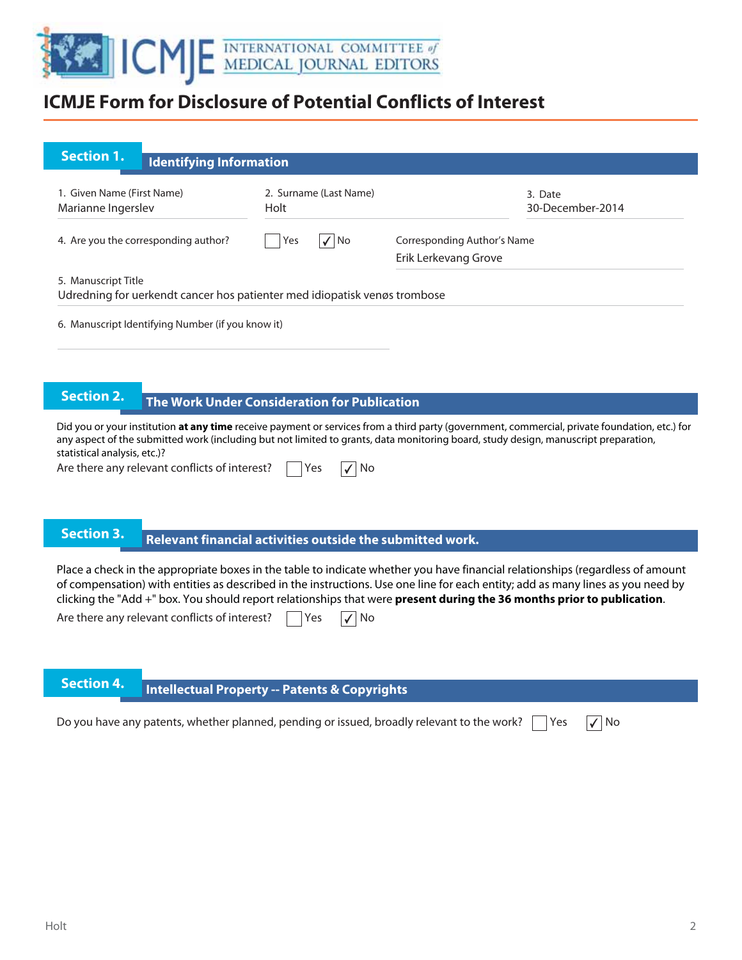

| <b>Section 1.</b><br><b>Identifying Information</b>                                                                                                                                                                                                                                                                                                                                           |                                                           |                                                                                                                                                                                                                                                                   |  |  |  |  |
|-----------------------------------------------------------------------------------------------------------------------------------------------------------------------------------------------------------------------------------------------------------------------------------------------------------------------------------------------------------------------------------------------|-----------------------------------------------------------|-------------------------------------------------------------------------------------------------------------------------------------------------------------------------------------------------------------------------------------------------------------------|--|--|--|--|
| 1. Given Name (First Name)<br>Marianne Ingerslev                                                                                                                                                                                                                                                                                                                                              | 2. Surname (Last Name)<br>Holt                            | 3. Date<br>30-December-2014                                                                                                                                                                                                                                       |  |  |  |  |
| 4. Are you the corresponding author?                                                                                                                                                                                                                                                                                                                                                          | $\checkmark$<br>$\overline{\big }$ No<br>Yes              | Corresponding Author's Name<br>Erik Lerkevang Grove                                                                                                                                                                                                               |  |  |  |  |
| 5. Manuscript Title<br>Udredning for uerkendt cancer hos patienter med idiopatisk venøs trombose                                                                                                                                                                                                                                                                                              |                                                           |                                                                                                                                                                                                                                                                   |  |  |  |  |
| 6. Manuscript Identifying Number (if you know it)                                                                                                                                                                                                                                                                                                                                             |                                                           |                                                                                                                                                                                                                                                                   |  |  |  |  |
|                                                                                                                                                                                                                                                                                                                                                                                               |                                                           |                                                                                                                                                                                                                                                                   |  |  |  |  |
| <b>Section 2.</b>                                                                                                                                                                                                                                                                                                                                                                             | <b>The Work Under Consideration for Publication</b>       |                                                                                                                                                                                                                                                                   |  |  |  |  |
| Did you or your institution at any time receive payment or services from a third party (government, commercial, private foundation, etc.) for<br>any aspect of the submitted work (including but not limited to grants, data monitoring board, study design, manuscript preparation,<br>statistical analysis, etc.)?<br>Are there any relevant conflicts of interest?<br>$\sqrt{ }$ No<br>Yes |                                                           |                                                                                                                                                                                                                                                                   |  |  |  |  |
| <b>Section 3.</b>                                                                                                                                                                                                                                                                                                                                                                             | Relevant financial activities outside the submitted work. |                                                                                                                                                                                                                                                                   |  |  |  |  |
|                                                                                                                                                                                                                                                                                                                                                                                               |                                                           | Place a check in the appropriate boxes in the table to indicate whether you have financial relationships (regardless of amount<br>of compensation) with entities as described in the instructions. Use one line for each entity; add as many lines as you need by |  |  |  |  |

clicking the "Add +" box. You should report relationships that were **present during the 36 months prior to publication**.

|  | Are there any relevant conflicts of interest? |  | Yes |  | $\sqrt{\ }$ No |
|--|-----------------------------------------------|--|-----|--|----------------|
|--|-----------------------------------------------|--|-----|--|----------------|

# **Intellectual Property -- Patents & Copyrights**

| Do you have any patents, whether planned, pending or issued, broadly relevant to the work? $\Box$ Yes $\Box$ No |  |
|-----------------------------------------------------------------------------------------------------------------|--|
|                                                                                                                 |  |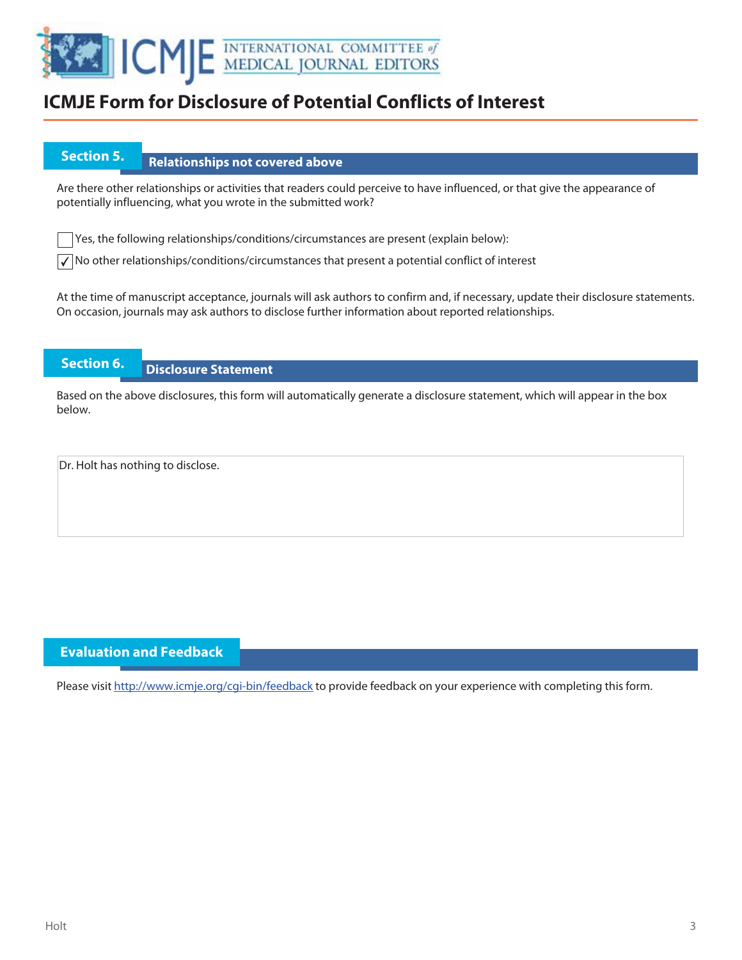

## **Section 5.** Relationships not covered above

Are there other relationships or activities that readers could perceive to have influenced, or that give the appearance of potentially influencing, what you wrote in the submitted work?

Yes, the following relationships/conditions/circumstances are present (explain below):

 $\sqrt{\ }$  No other relationships/conditions/circumstances that present a potential conflict of interest

At the time of manuscript acceptance, journals will ask authors to confirm and, if necessary, update their disclosure statements. On occasion, journals may ask authors to disclose further information about reported relationships.

### **Section 6. Disclosure Statement**

Based on the above disclosures, this form will automatically generate a disclosure statement, which will appear in the box below.

Dr. Holt has nothing to disclose.

### **Evaluation and Feedback**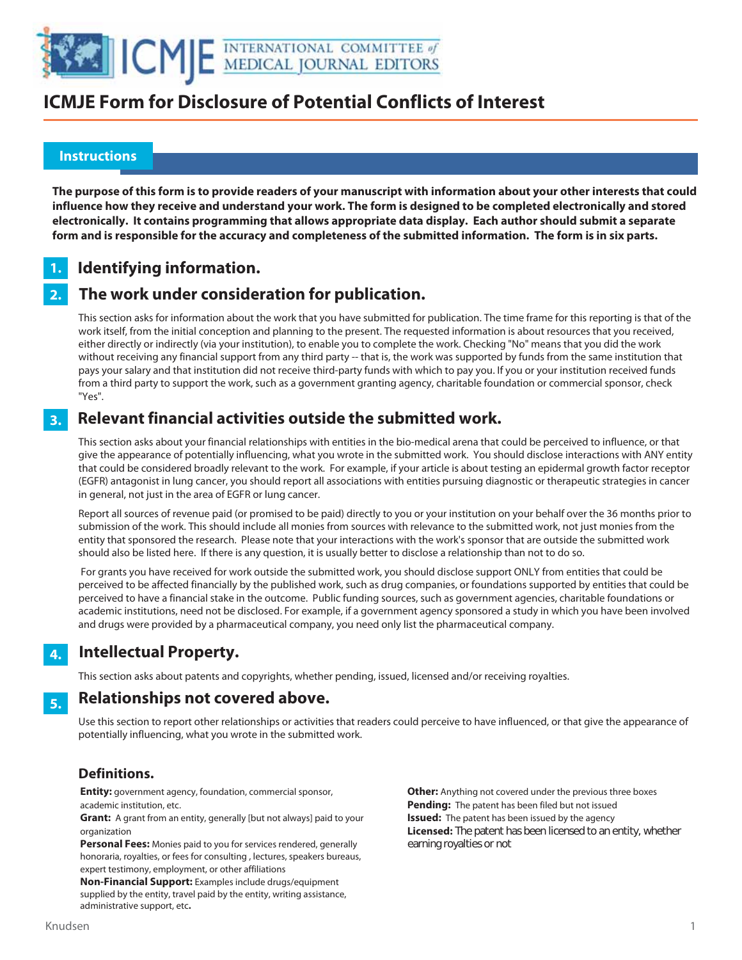

### **Instructions**

l

**The purpose of this form is to provide readers of your manuscript with information about your other interests that could influence how they receive and understand your work. The form is designed to be completed electronically and stored electronically. It contains programming that allows appropriate data display. Each author should submit a separate form and is responsible for the accuracy and completeness of the submitted information. The form is in six parts.** 

#### **Identifying information. 1.**

#### **The work under consideration for publication. 2.**

This section asks for information about the work that you have submitted for publication. The time frame for this reporting is that of the work itself, from the initial conception and planning to the present. The requested information is about resources that you received, either directly or indirectly (via your institution), to enable you to complete the work. Checking "No" means that you did the work without receiving any financial support from any third party -- that is, the work was supported by funds from the same institution that pays your salary and that institution did not receive third-party funds with which to pay you. If you or your institution received funds from a third party to support the work, such as a government granting agency, charitable foundation or commercial sponsor, check "Yes".

#### **Relevant financial activities outside the submitted work. 3.**

This section asks about your financial relationships with entities in the bio-medical arena that could be perceived to influence, or that give the appearance of potentially influencing, what you wrote in the submitted work. You should disclose interactions with ANY entity that could be considered broadly relevant to the work. For example, if your article is about testing an epidermal growth factor receptor (EGFR) antagonist in lung cancer, you should report all associations with entities pursuing diagnostic or therapeutic strategies in cancer in general, not just in the area of EGFR or lung cancer.

Report all sources of revenue paid (or promised to be paid) directly to you or your institution on your behalf over the 36 months prior to submission of the work. This should include all monies from sources with relevance to the submitted work, not just monies from the entity that sponsored the research. Please note that your interactions with the work's sponsor that are outside the submitted work should also be listed here. If there is any question, it is usually better to disclose a relationship than not to do so.

 For grants you have received for work outside the submitted work, you should disclose support ONLY from entities that could be perceived to be affected financially by the published work, such as drug companies, or foundations supported by entities that could be perceived to have a financial stake in the outcome. Public funding sources, such as government agencies, charitable foundations or academic institutions, need not be disclosed. For example, if a government agency sponsored a study in which you have been involved and drugs were provided by a pharmaceutical company, you need only list the pharmaceutical company.

#### **Intellectual Property. 4.**

This section asks about patents and copyrights, whether pending, issued, licensed and/or receiving royalties.

#### **Relationships not covered above. 5.**

Use this section to report other relationships or activities that readers could perceive to have influenced, or that give the appearance of potentially influencing, what you wrote in the submitted work.

### **Definitions.**

**Entity:** government agency, foundation, commercial sponsor, academic institution, etc.

**Grant:** A grant from an entity, generally [but not always] paid to your organization

**Personal Fees:** Monies paid to you for services rendered, generally honoraria, royalties, or fees for consulting , lectures, speakers bureaus, expert testimony, employment, or other affiliations

**Non-Financial Support:** Examples include drugs/equipment supplied by the entity, travel paid by the entity, writing assistance, administrative support, etc**.**

**Other:** Anything not covered under the previous three boxes **Pending:** The patent has been filed but not issued **Issued:** The patent has been issued by the agency **Licensed:** The patent has been licensed to an entity, whether earning royalties or not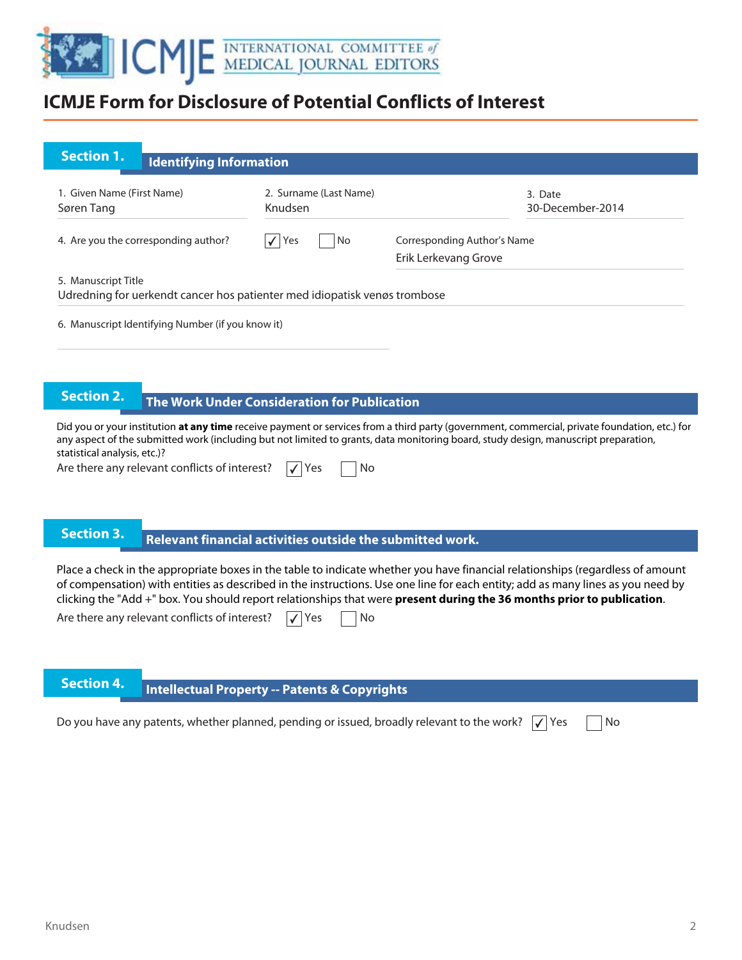

| <b>Section 1.</b><br><b>Identifying Information</b>                                                                                                                                                                                                                                                                  |                                                           |                                                     |                             |  |  |  |
|----------------------------------------------------------------------------------------------------------------------------------------------------------------------------------------------------------------------------------------------------------------------------------------------------------------------|-----------------------------------------------------------|-----------------------------------------------------|-----------------------------|--|--|--|
| 1. Given Name (First Name)<br>Søren Tang                                                                                                                                                                                                                                                                             | 2. Surname (Last Name)<br>Knudsen                         |                                                     | 3. Date<br>30-December-2014 |  |  |  |
| 4. Are you the corresponding author?                                                                                                                                                                                                                                                                                 | $\sqrt{Y}$<br>No                                          | Corresponding Author's Name<br>Erik Lerkevang Grove |                             |  |  |  |
| 5. Manuscript Title<br>Udredning for uerkendt cancer hos patienter med idiopatisk venøs trombose                                                                                                                                                                                                                     |                                                           |                                                     |                             |  |  |  |
| 6. Manuscript Identifying Number (if you know it)                                                                                                                                                                                                                                                                    |                                                           |                                                     |                             |  |  |  |
|                                                                                                                                                                                                                                                                                                                      |                                                           |                                                     |                             |  |  |  |
|                                                                                                                                                                                                                                                                                                                      |                                                           |                                                     |                             |  |  |  |
| <b>Section 2.</b>                                                                                                                                                                                                                                                                                                    | The Work Under Consideration for Publication              |                                                     |                             |  |  |  |
| Did you or your institution at any time receive payment or services from a third party (government, commercial, private foundation, etc.) for<br>any aspect of the submitted work (including but not limited to grants, data monitoring board, study design, manuscript preparation,<br>statistical analysis, etc.)? |                                                           |                                                     |                             |  |  |  |
| Are there any relevant conflicts of interest?                                                                                                                                                                                                                                                                        | No<br>Yes                                                 |                                                     |                             |  |  |  |
|                                                                                                                                                                                                                                                                                                                      |                                                           |                                                     |                             |  |  |  |
|                                                                                                                                                                                                                                                                                                                      |                                                           |                                                     |                             |  |  |  |
| <b>Section 3.</b>                                                                                                                                                                                                                                                                                                    | Relevant financial activities outside the submitted work. |                                                     |                             |  |  |  |
| Place a check in the appropriate boxes in the table to indicate whether you have financial relationships (regardless of amount                                                                                                                                                                                       |                                                           |                                                     |                             |  |  |  |

of compensation) with entities as described in the instructions. Use one line for each entity; add as many lines as you need by clicking the "Add +" box. You should report relationships that were **present during the 36 months prior to publication**.

| $\sqrt{Y}$<br>Are there any relevant conflicts of interest? |  | ∣ No |
|-------------------------------------------------------------|--|------|
|-------------------------------------------------------------|--|------|

# **Intellectual Property -- Patents & Copyrights**

| Do you have any patents, whether planned, pending or issued, broadly relevant to the work? $\sqrt{}$ Yes $\sqrt{}$ No |  |  |
|-----------------------------------------------------------------------------------------------------------------------|--|--|
|-----------------------------------------------------------------------------------------------------------------------|--|--|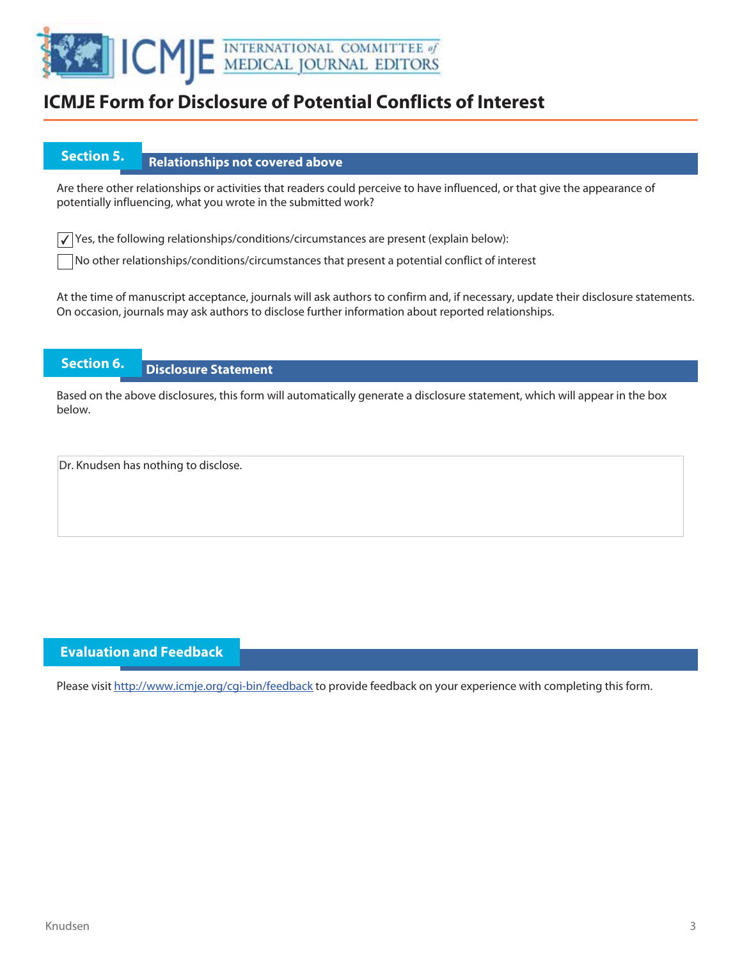

## **Section 5.** Relationships not covered above

Are there other relationships or activities that readers could perceive to have influenced, or that give the appearance of potentially influencing, what you wrote in the submitted work?

 $\sqrt{\sqrt{2}}$  Yes, the following relationships/conditions/circumstances are present (explain below):

No other relationships/conditions/circumstances that present a potential conflict of interest

At the time of manuscript acceptance, journals will ask authors to confirm and, if necessary, update their disclosure statements. On occasion, journals may ask authors to disclose further information about reported relationships.

### **Section 6. Disclosure Statement**

Based on the above disclosures, this form will automatically generate a disclosure statement, which will appear in the box below.

Dr. Knudsen has nothing to disclose.

### **Evaluation and Feedback**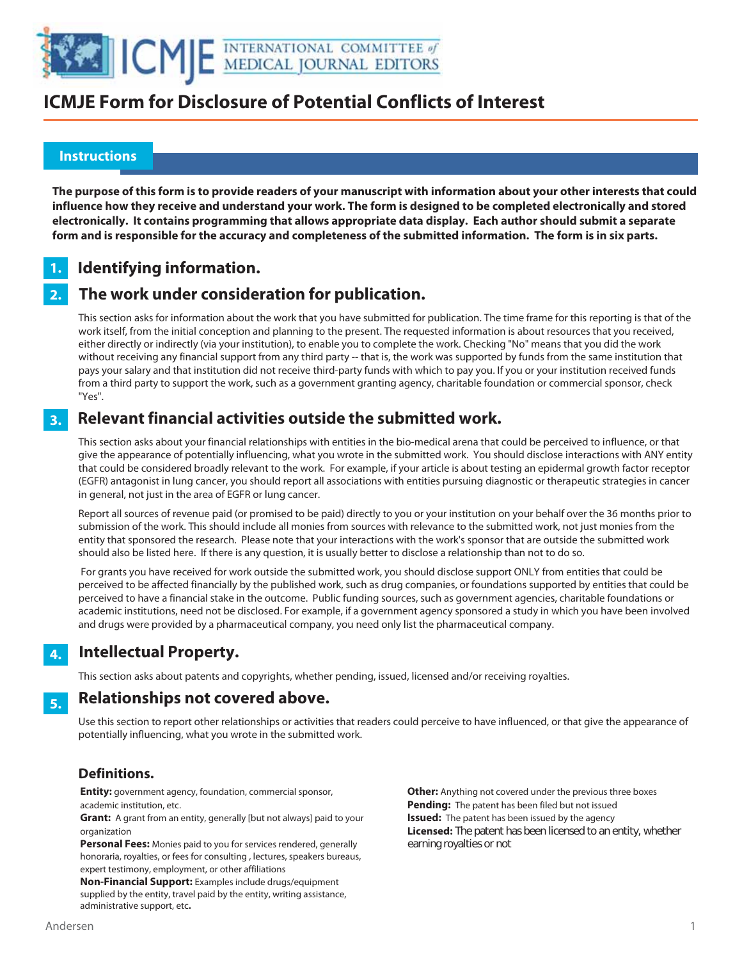

### **Instructions**

l

**The purpose of this form is to provide readers of your manuscript with information about your other interests that could influence how they receive and understand your work. The form is designed to be completed electronically and stored electronically. It contains programming that allows appropriate data display. Each author should submit a separate form and is responsible for the accuracy and completeness of the submitted information. The form is in six parts.** 

#### **Identifying information. 1.**

#### **The work under consideration for publication. 2.**

This section asks for information about the work that you have submitted for publication. The time frame for this reporting is that of the work itself, from the initial conception and planning to the present. The requested information is about resources that you received, either directly or indirectly (via your institution), to enable you to complete the work. Checking "No" means that you did the work without receiving any financial support from any third party -- that is, the work was supported by funds from the same institution that pays your salary and that institution did not receive third-party funds with which to pay you. If you or your institution received funds from a third party to support the work, such as a government granting agency, charitable foundation or commercial sponsor, check "Yes".

#### **Relevant financial activities outside the submitted work. 3.**

This section asks about your financial relationships with entities in the bio-medical arena that could be perceived to influence, or that give the appearance of potentially influencing, what you wrote in the submitted work. You should disclose interactions with ANY entity that could be considered broadly relevant to the work. For example, if your article is about testing an epidermal growth factor receptor (EGFR) antagonist in lung cancer, you should report all associations with entities pursuing diagnostic or therapeutic strategies in cancer in general, not just in the area of EGFR or lung cancer.

Report all sources of revenue paid (or promised to be paid) directly to you or your institution on your behalf over the 36 months prior to submission of the work. This should include all monies from sources with relevance to the submitted work, not just monies from the entity that sponsored the research. Please note that your interactions with the work's sponsor that are outside the submitted work should also be listed here. If there is any question, it is usually better to disclose a relationship than not to do so.

 For grants you have received for work outside the submitted work, you should disclose support ONLY from entities that could be perceived to be affected financially by the published work, such as drug companies, or foundations supported by entities that could be perceived to have a financial stake in the outcome. Public funding sources, such as government agencies, charitable foundations or academic institutions, need not be disclosed. For example, if a government agency sponsored a study in which you have been involved and drugs were provided by a pharmaceutical company, you need only list the pharmaceutical company.

#### **Intellectual Property. 4.**

This section asks about patents and copyrights, whether pending, issued, licensed and/or receiving royalties.

#### **Relationships not covered above. 5.**

Use this section to report other relationships or activities that readers could perceive to have influenced, or that give the appearance of potentially influencing, what you wrote in the submitted work.

### **Definitions.**

**Entity:** government agency, foundation, commercial sponsor, academic institution, etc.

**Grant:** A grant from an entity, generally [but not always] paid to your organization

**Personal Fees:** Monies paid to you for services rendered, generally honoraria, royalties, or fees for consulting , lectures, speakers bureaus, expert testimony, employment, or other affiliations

**Non-Financial Support:** Examples include drugs/equipment supplied by the entity, travel paid by the entity, writing assistance, administrative support, etc**.**

**Other:** Anything not covered under the previous three boxes **Pending:** The patent has been filed but not issued **Issued:** The patent has been issued by the agency **Licensed:** The patent has been licensed to an entity, whether earning royalties or not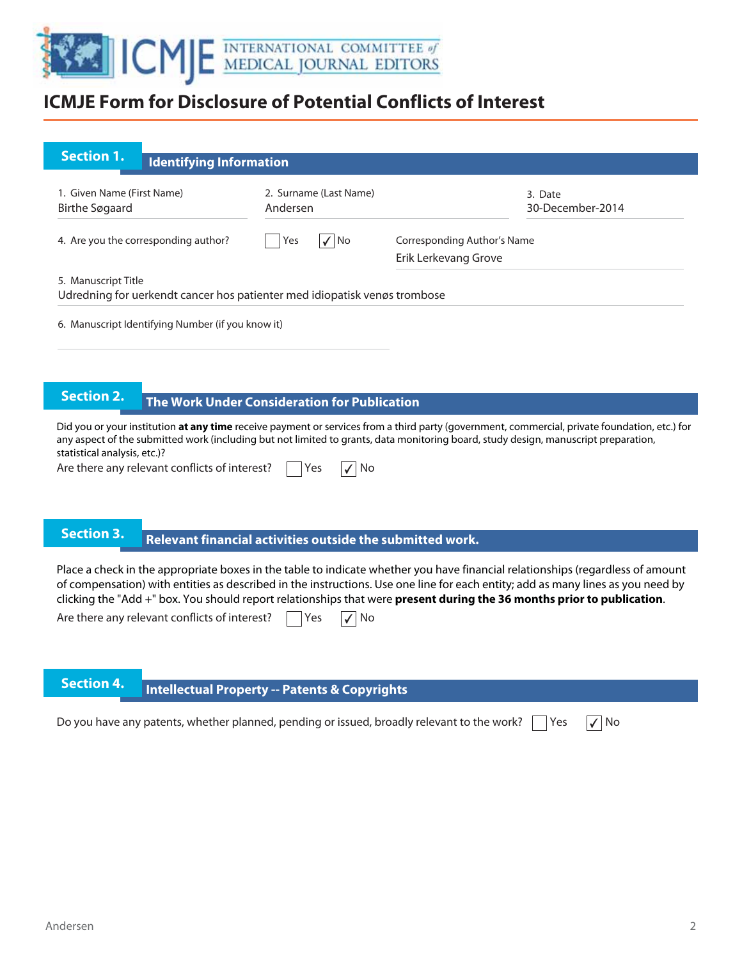

| <b>Section 1.</b>                                                                                                                                                                                                                                                                                                    | <b>Identifying Information</b>                    |                                                                           |                                                     |                                                                                                                                |  |  |
|----------------------------------------------------------------------------------------------------------------------------------------------------------------------------------------------------------------------------------------------------------------------------------------------------------------------|---------------------------------------------------|---------------------------------------------------------------------------|-----------------------------------------------------|--------------------------------------------------------------------------------------------------------------------------------|--|--|
| 1. Given Name (First Name)<br><b>Birthe Søgaard</b>                                                                                                                                                                                                                                                                  |                                                   | 2. Surname (Last Name)<br>Andersen                                        |                                                     | 3. Date<br>30-December-2014                                                                                                    |  |  |
|                                                                                                                                                                                                                                                                                                                      | 4. Are you the corresponding author?              | $\sqrt{ N}$<br>Yes                                                        | Corresponding Author's Name<br>Erik Lerkevang Grove |                                                                                                                                |  |  |
| 5. Manuscript Title                                                                                                                                                                                                                                                                                                  |                                                   | Udredning for uerkendt cancer hos patienter med idiopatisk venøs trombose |                                                     |                                                                                                                                |  |  |
|                                                                                                                                                                                                                                                                                                                      | 6. Manuscript Identifying Number (if you know it) |                                                                           |                                                     |                                                                                                                                |  |  |
|                                                                                                                                                                                                                                                                                                                      |                                                   |                                                                           |                                                     |                                                                                                                                |  |  |
| <b>Section 2.</b>                                                                                                                                                                                                                                                                                                    |                                                   | The Work Under Consideration for Publication                              |                                                     |                                                                                                                                |  |  |
| Did you or your institution at any time receive payment or services from a third party (government, commercial, private foundation, etc.) for<br>any aspect of the submitted work (including but not limited to grants, data monitoring board, study design, manuscript preparation,<br>statistical analysis, etc.)? |                                                   |                                                                           |                                                     |                                                                                                                                |  |  |
|                                                                                                                                                                                                                                                                                                                      | Are there any relevant conflicts of interest?     | $\sqrt{}$ No<br>Yes                                                       |                                                     |                                                                                                                                |  |  |
|                                                                                                                                                                                                                                                                                                                      |                                                   |                                                                           |                                                     |                                                                                                                                |  |  |
| <b>Section 3.</b>                                                                                                                                                                                                                                                                                                    |                                                   | Relevant financial activities outside the submitted work.                 |                                                     |                                                                                                                                |  |  |
|                                                                                                                                                                                                                                                                                                                      |                                                   |                                                                           |                                                     | Place a check in the appropriate boxes in the table to indicate whether you have financial relationships (regardless of amount |  |  |

of compensation) with entities as described in the instructions. Use one line for each entity; add as many lines as you need by clicking the "Add +" box. You should report relationships that were **present during the 36 months prior to publication**.

| Are there any relevant conflicts of interest? |  | <b>Yes</b> |  | $\vert\hspace{-.15cm}\vert\hspace{-.15cm}\cdot\hspace{-.15cm}\vert$ No |
|-----------------------------------------------|--|------------|--|------------------------------------------------------------------------|
|-----------------------------------------------|--|------------|--|------------------------------------------------------------------------|

# **Intellectual Property -- Patents & Copyrights**

| Do you have any patents, whether planned, pending or issued, broadly relevant to the work? $\Box$ Yes $\Box$ No |  |
|-----------------------------------------------------------------------------------------------------------------|--|
|                                                                                                                 |  |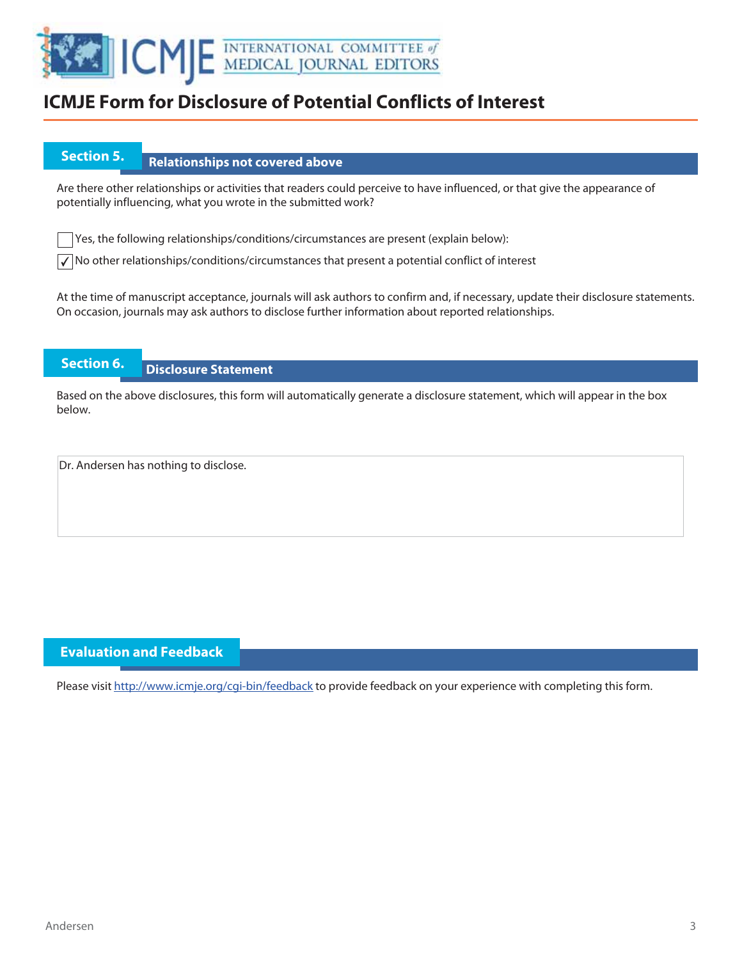

## **Section 5.** Relationships not covered above

Are there other relationships or activities that readers could perceive to have influenced, or that give the appearance of potentially influencing, what you wrote in the submitted work?

Yes, the following relationships/conditions/circumstances are present (explain below):

 $\sqrt{\ }$  No other relationships/conditions/circumstances that present a potential conflict of interest

At the time of manuscript acceptance, journals will ask authors to confirm and, if necessary, update their disclosure statements. On occasion, journals may ask authors to disclose further information about reported relationships.

### **Section 6. Disclosure Statement**

Based on the above disclosures, this form will automatically generate a disclosure statement, which will appear in the box below.

Dr. Andersen has nothing to disclose.

### **Evaluation and Feedback**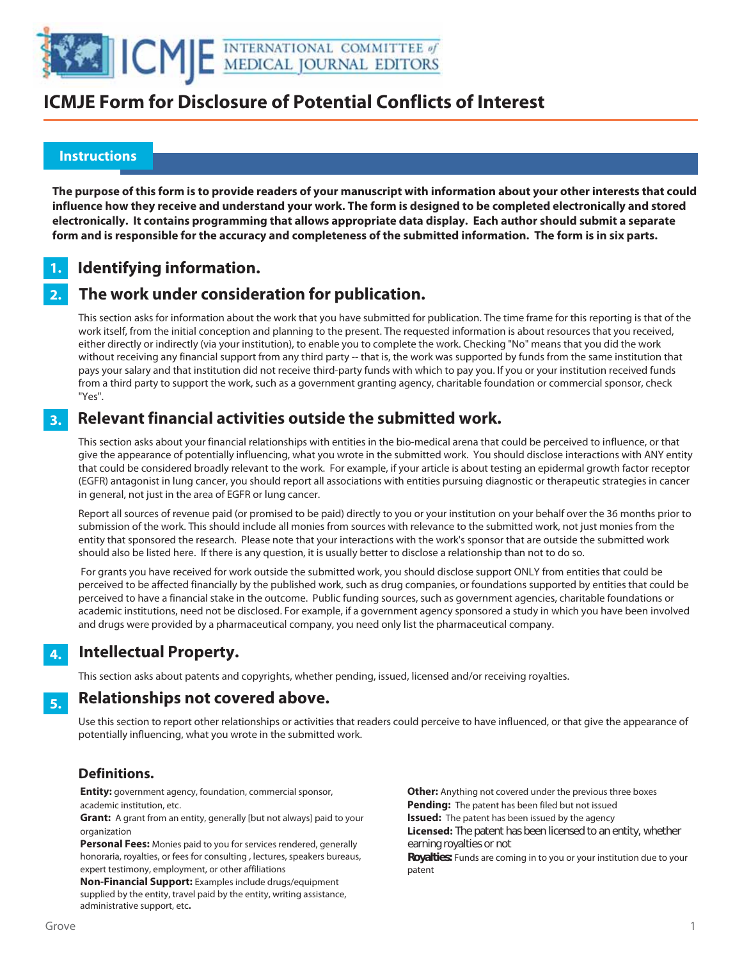

### **Instructions**

l

**The purpose of this form is to provide readers of your manuscript with information about your other interests that could influence how they receive and understand your work. The form is designed to be completed electronically and stored electronically. It contains programming that allows appropriate data display. Each author should submit a separate form and is responsible for the accuracy and completeness of the submitted information. The form is in six parts.** 

#### **Identifying information. 1.**

#### **The work under consideration for publication. 2.**

This section asks for information about the work that you have submitted for publication. The time frame for this reporting is that of the work itself, from the initial conception and planning to the present. The requested information is about resources that you received, either directly or indirectly (via your institution), to enable you to complete the work. Checking "No" means that you did the work without receiving any financial support from any third party -- that is, the work was supported by funds from the same institution that pays your salary and that institution did not receive third-party funds with which to pay you. If you or your institution received funds from a third party to support the work, such as a government granting agency, charitable foundation or commercial sponsor, check "Yes".

#### **Relevant financial activities outside the submitted work. 3.**

This section asks about your financial relationships with entities in the bio-medical arena that could be perceived to influence, or that give the appearance of potentially influencing, what you wrote in the submitted work. You should disclose interactions with ANY entity that could be considered broadly relevant to the work. For example, if your article is about testing an epidermal growth factor receptor (EGFR) antagonist in lung cancer, you should report all associations with entities pursuing diagnostic or therapeutic strategies in cancer in general, not just in the area of EGFR or lung cancer.

Report all sources of revenue paid (or promised to be paid) directly to you or your institution on your behalf over the 36 months prior to submission of the work. This should include all monies from sources with relevance to the submitted work, not just monies from the entity that sponsored the research. Please note that your interactions with the work's sponsor that are outside the submitted work should also be listed here. If there is any question, it is usually better to disclose a relationship than not to do so.

 For grants you have received for work outside the submitted work, you should disclose support ONLY from entities that could be perceived to be affected financially by the published work, such as drug companies, or foundations supported by entities that could be perceived to have a financial stake in the outcome. Public funding sources, such as government agencies, charitable foundations or academic institutions, need not be disclosed. For example, if a government agency sponsored a study in which you have been involved and drugs were provided by a pharmaceutical company, you need only list the pharmaceutical company.

#### **Intellectual Property. 4.**

This section asks about patents and copyrights, whether pending, issued, licensed and/or receiving royalties.

#### **Relationships not covered above. 5.**

Use this section to report other relationships or activities that readers could perceive to have influenced, or that give the appearance of potentially influencing, what you wrote in the submitted work.

### **Definitions.**

**Entity:** government agency, foundation, commercial sponsor, academic institution, etc.

**Grant:** A grant from an entity, generally [but not always] paid to your organization

**Personal Fees:** Monies paid to you for services rendered, generally honoraria, royalties, or fees for consulting , lectures, speakers bureaus, expert testimony, employment, or other affiliations

**Non-Financial Support:** Examples include drugs/equipment supplied by the entity, travel paid by the entity, writing assistance, administrative support, etc**.**

**Other:** Anything not covered under the previous three boxes **Pending:** The patent has been filed but not issued **Issued:** The patent has been issued by the agency **Licensed:** The patent has been licensed to an entity, whether earning royalties or not **Royalties:** Funds are coming in to you or your institution due to your

patent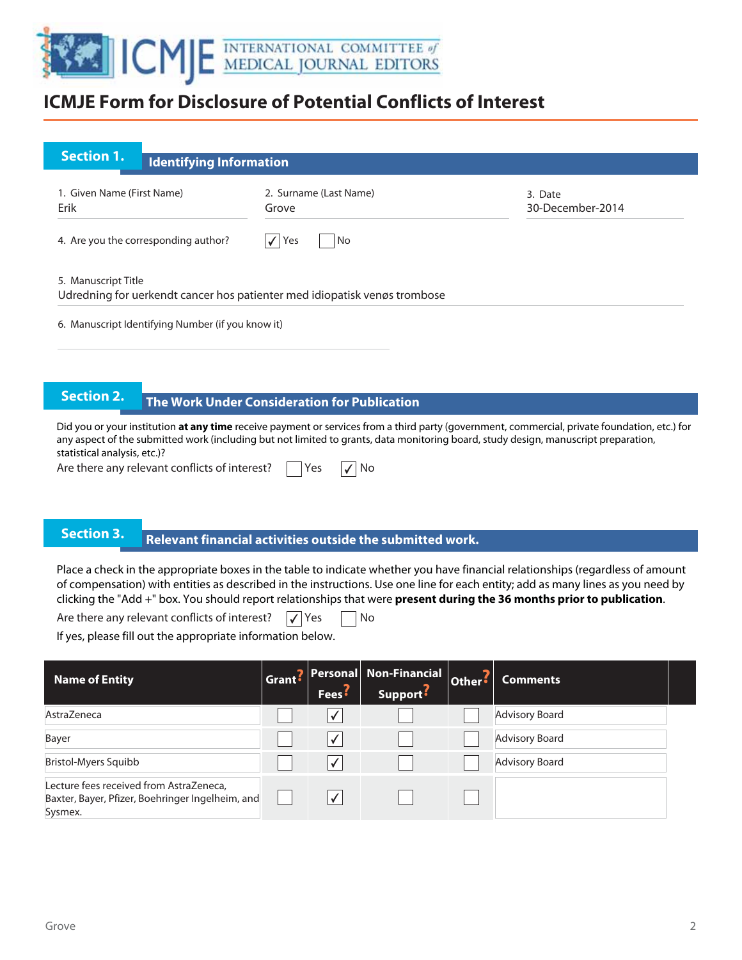

| <b>Section 1.</b>                    | <b>Identifying Information</b>                    |                                                                           |                             |
|--------------------------------------|---------------------------------------------------|---------------------------------------------------------------------------|-----------------------------|
| 1. Given Name (First Name)<br>Erik   |                                                   | 2. Surname (Last Name)<br>Grove                                           | 3. Date<br>30-December-2014 |
| 4. Are you the corresponding author? |                                                   | $\sqrt{\mathsf{Y}}$ es<br>No                                              |                             |
| 5. Manuscript Title                  |                                                   | Udredning for uerkendt cancer hos patienter med idiopatisk venøs trombose |                             |
|                                      | 6. Manuscript Identifying Number (if you know it) |                                                                           |                             |

## **The Work Under Consideration for Publication**

Did you or your institution **at any time** receive payment or services from a third party (government, commercial, private foundation, etc.) for any aspect of the submitted work (including but not limited to grants, data monitoring board, study design, manuscript preparation, statistical analysis, etc.)?

Are there any relevant conflicts of interest?  $\Box$  Yes

|  | ۰. |
|--|----|
|--|----|

# **Relevant financial activities outside the submitted work. Section 3. Relevant financial activities outset**

Place a check in the appropriate boxes in the table to indicate whether you have financial relationships (regardless of amount of compensation) with entities as described in the instructions. Use one line for each entity; add as many lines as you need by clicking the "Add +" box. You should report relationships that were **present during the 36 months prior to publication**.

Are there any relevant conflicts of interest?  $\sqrt{\ }$  Yes  $\Box$  No

If yes, please fill out the appropriate information below.

| <b>Name of Entity</b>                                                                                  | Grant? | Fees <sup>5</sup> | $\left\vert \mathsf{Personal} \right\vert$ Non-Financial $\left\vert \right.$<br>Support <sup>:</sup> | $ _{\rm Other}$ ? | <b>Comments</b>       |  |
|--------------------------------------------------------------------------------------------------------|--------|-------------------|-------------------------------------------------------------------------------------------------------|-------------------|-----------------------|--|
| AstraZeneca                                                                                            |        |                   |                                                                                                       |                   | <b>Advisory Board</b> |  |
| Bayer                                                                                                  |        |                   |                                                                                                       |                   | <b>Advisory Board</b> |  |
| Bristol-Myers Squibb                                                                                   |        |                   |                                                                                                       |                   | <b>Advisory Board</b> |  |
| Lecture fees received from AstraZeneca,<br>Baxter, Bayer, Pfizer, Boehringer Ingelheim, and<br>Sysmex. |        |                   |                                                                                                       |                   |                       |  |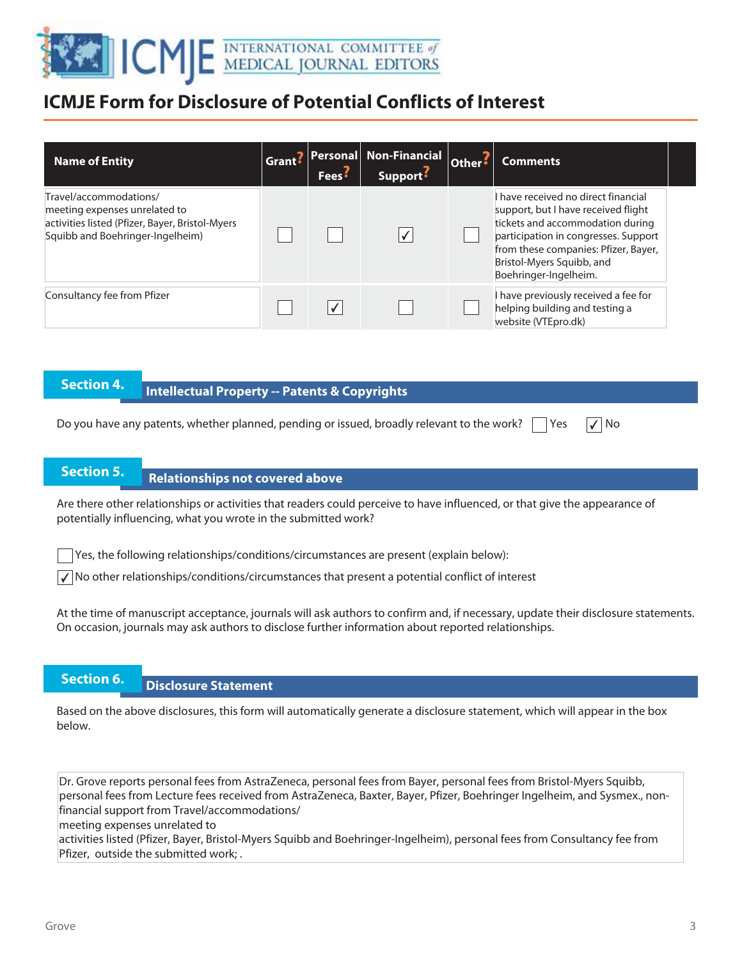

| <b>Name of Entity</b>                                                                                                                          | Grant <sup>:</sup> | <b>Fees</b> | Personal   Non-Financial<br><b>Support</b> | $ $ Other $\epsilon$ | <b>Comments</b>                                                                                                                                                                                                                                      |  |
|------------------------------------------------------------------------------------------------------------------------------------------------|--------------------|-------------|--------------------------------------------|----------------------|------------------------------------------------------------------------------------------------------------------------------------------------------------------------------------------------------------------------------------------------------|--|
| Travel/accommodations/<br>meeting expenses unrelated to<br>activities listed (Pfizer, Bayer, Bristol-Myers<br>Squibb and Boehringer-Ingelheim) |                    |             |                                            |                      | I have received no direct financial<br>support, but I have received flight<br>tickets and accommodation during<br>participation in congresses. Support<br>from these companies: Pfizer, Bayer,<br>Bristol-Myers Squibb, and<br>Boehringer-Ingelheim. |  |
| Consultancy fee from Pfizer                                                                                                                    |                    |             |                                            |                      | I have previously received a fee for<br>helping building and testing a<br>website (VTEpro.dk)                                                                                                                                                        |  |

### **Intellectual Property -- Patents & Copyrights**

Do you have any patents, whether planned, pending or issued, broadly relevant to the work?  $\vert \ \vert$  Yes  $\vert \ \vert$  No

### **Section 5.** Relationships not covered above

Are there other relationships or activities that readers could perceive to have influenced, or that give the appearance of potentially influencing, what you wrote in the submitted work?

Yes, the following relationships/conditions/circumstances are present (explain below):

 $\sqrt{\sqrt{N}}$  No other relationships/conditions/circumstances that present a potential conflict of interest

At the time of manuscript acceptance, journals will ask authors to confirm and, if necessary, update their disclosure statements. On occasion, journals may ask authors to disclose further information about reported relationships.

### **Section 6. Disclosure Statement**

Based on the above disclosures, this form will automatically generate a disclosure statement, which will appear in the box below.

Dr. Grove reports personal fees from AstraZeneca, personal fees from Bayer, personal fees from Bristol-Myers Squibb, personal fees from Lecture fees received from AstraZeneca, Baxter, Bayer, Pfizer, Boehringer Ingelheim, and Sysmex., nonfinancial support from Travel/accommodations/

meeting expenses unrelated to

activities listed (Pfizer, Bayer, Bristol-Myers Squibb and Boehringer-Ingelheim), personal fees from Consultancy fee from Pfizer, outside the submitted work; .